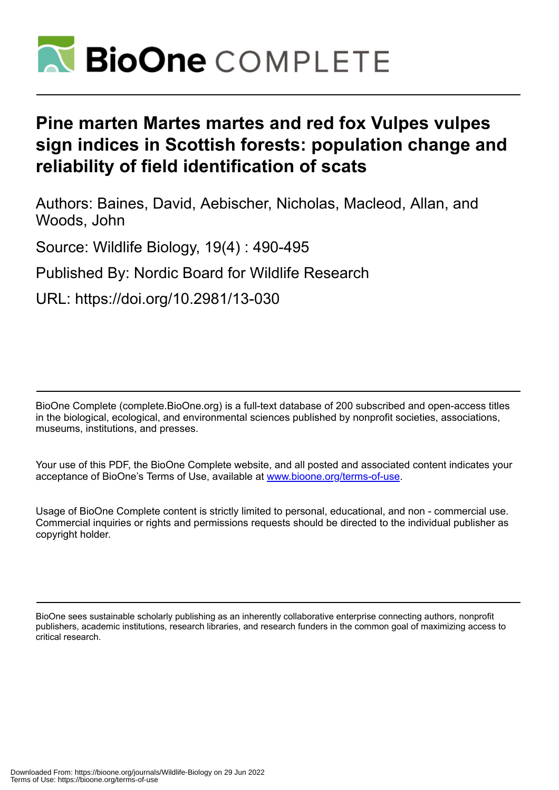

# **Pine marten Martes martes and red fox Vulpes vulpes sign indices in Scottish forests: population change and reliability of field identification of scats**

Authors: Baines, David, Aebischer, Nicholas, Macleod, Allan, and Woods, John

Source: Wildlife Biology, 19(4) : 490-495

Published By: Nordic Board for Wildlife Research

URL: https://doi.org/10.2981/13-030

BioOne Complete (complete.BioOne.org) is a full-text database of 200 subscribed and open-access titles in the biological, ecological, and environmental sciences published by nonprofit societies, associations, museums, institutions, and presses.

Your use of this PDF, the BioOne Complete website, and all posted and associated content indicates your acceptance of BioOne's Terms of Use, available at www.bioone.org/terms-of-use.

Usage of BioOne Complete content is strictly limited to personal, educational, and non - commercial use. Commercial inquiries or rights and permissions requests should be directed to the individual publisher as copyright holder.

BioOne sees sustainable scholarly publishing as an inherently collaborative enterprise connecting authors, nonprofit publishers, academic institutions, research libraries, and research funders in the common goal of maximizing access to critical research.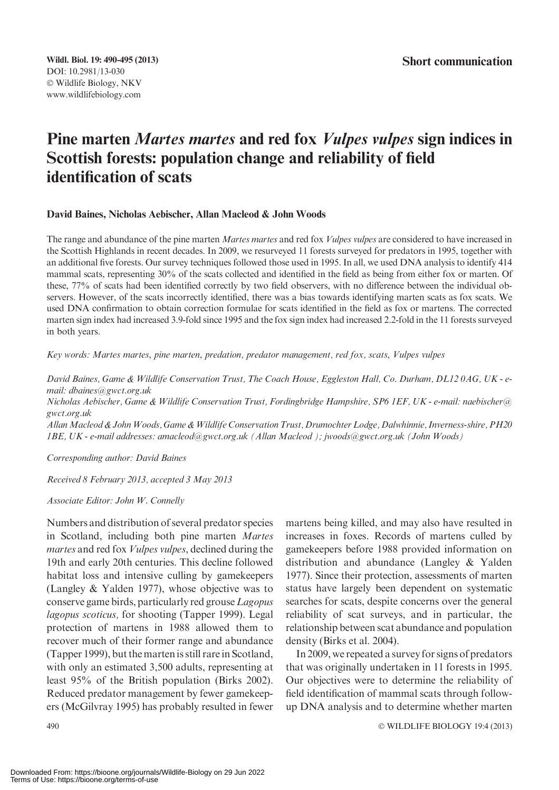## Pine marten Martes martes and red fox Vulpes vulpes sign indices in Scottish forests: population change and reliability of field identification of scats

## David Baines, Nicholas Aebischer, Allan Macleod & John Woods

The range and abundance of the pine marten Martes martes and red fox Vulpes vulpes are considered to have increased in the Scottish Highlands in recent decades. In 2009, we resurveyed 11 forests surveyed for predators in 1995, together with an additional five forests. Our survey techniques followed those used in 1995. In all, we used DNA analysis to identify 414 mammal scats, representing 30% of the scats collected and identified in the field as being from either fox or marten. Of these, 77% of scats had been identified correctly by two field observers, with no difference between the individual observers. However, of the scats incorrectly identified, there was a bias towards identifying marten scats as fox scats. We used DNA confirmation to obtain correction formulae for scats identified in the field as fox or martens. The corrected marten sign index had increased 3.9-fold since 1995 and the fox sign index had increased 2.2-fold in the 11 forests surveyed in both years.

Key words: Martes martes, pine marten, predation, predator management, red fox, scats, Vulpes vulpes

David Baines, Game & Wildlife Conservation Trust, The Coach House, Eggleston Hall, Co. Durham, DL12 0AG, UK - email: dbaines@gwct.org.uk

Nicholas Aebischer, Game & Wildlife Conservation Trust, Fordingbridge Hampshire, SP6 1EF, UK - e-mail: naebischer@ gwct.org.uk

AllanMacleod & JohnWoods, Game &Wildlife Conservation Trust, Drumochter Lodge, Dalwhinnie, Inverness-shire, PH20 1BE, UK - e-mail addresses: amacleod@gwct.org.uk (Allan Macleod ); jwoods@gwct.org.uk (John Woods)

Corresponding author: David Baines

Received 8 February 2013, accepted 3 May 2013

Associate Editor: John W. Connelly

Numbers and distribution of several predator species in Scotland, including both pine marten Martes martes and red fox *Vulpes vulpes*, declined during the 19th and early 20th centuries. This decline followed habitat loss and intensive culling by gamekeepers (Langley & Yalden 1977), whose objective was to conserve game birds, particularly red grouse Lagopus lagopus scoticus, for shooting (Tapper 1999). Legal protection of martens in 1988 allowed them to recover much of their former range and abundance (Tapper 1999), but the marten is still rare in Scotland, with only an estimated 3,500 adults, representing at least 95% of the British population (Birks 2002). Reduced predator management by fewer gamekeepers (McGilvray 1995) has probably resulted in fewer

martens being killed, and may also have resulted in increases in foxes. Records of martens culled by gamekeepers before 1988 provided information on distribution and abundance (Langley & Yalden 1977). Since their protection, assessments of marten status have largely been dependent on systematic searches for scats, despite concerns over the general reliability of scat surveys, and in particular, the relationship between scat abundance and population density (Birks et al. 2004).

In 2009, we repeated a survey for signs of predators that was originally undertaken in 11 forests in 1995. Our objectives were to determine the reliability of field identification of mammal scats through followup DNA analysis and to determine whether marten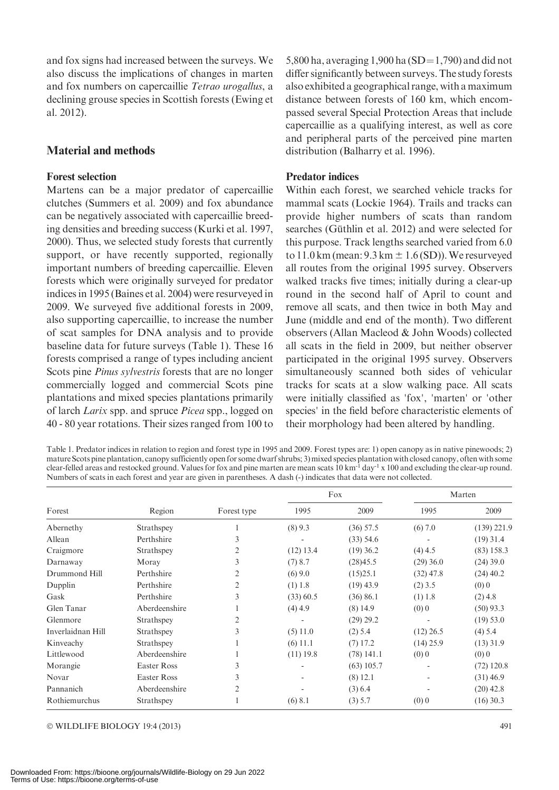and fox signs had increased between the surveys. We also discuss the implications of changes in marten and fox numbers on capercaillie Tetrao urogallus, a declining grouse species in Scottish forests (Ewing et al. 2012).

## Material and methods

## Forest selection

Martens can be a major predator of capercaillie clutches (Summers et al. 2009) and fox abundance can be negatively associated with capercaillie breeding densities and breeding success (Kurki et al. 1997, 2000). Thus, we selected study forests that currently support, or have recently supported, regionally important numbers of breeding capercaillie. Eleven forests which were originally surveyed for predator indices in 1995 (Baines et al. 2004) were resurveyed in 2009. We surveyed five additional forests in 2009, also supporting capercaillie, to increase the number of scat samples for DNA analysis and to provide baseline data for future surveys (Table 1). These 16 forests comprised a range of types including ancient Scots pine *Pinus sylvestris* forests that are no longer commercially logged and commercial Scots pine plantations and mixed species plantations primarily of larch Larix spp. and spruce Picea spp., logged on 40 - 80 year rotations. Their sizes ranged from 100 to

5,800 ha, averaging 1,900 ha  $(SD=1,790)$  and did not differ significantly between surveys. The study forests also exhibited a geographical range, with a maximum distance between forests of 160 km, which encompassed several Special Protection Areas that include capercaillie as a qualifying interest, as well as core and peripheral parts of the perceived pine marten distribution (Balharry et al. 1996).

## Predator indices

Within each forest, we searched vehicle tracks for mammal scats (Lockie 1964). Trails and tracks can provide higher numbers of scats than random searches (Güthlin et al. 2012) and were selected for this purpose. Track lengths searched varied from 6.0 to  $11.0 \text{ km}$  (mean:  $9.3 \text{ km} \pm 1.6 \text{(SD)}$ ). We resurveyed all routes from the original 1995 survey. Observers walked tracks five times; initially during a clear-up round in the second half of April to count and remove all scats, and then twice in both May and June (middle and end of the month). Two different observers (Allan Macleod & John Woods) collected all scats in the field in 2009, but neither observer participated in the original 1995 survey. Observers simultaneously scanned both sides of vehicular tracks for scats at a slow walking pace. All scats were initially classified as 'fox', 'marten' or 'other species' in the field before characteristic elements of their morphology had been altered by handling.

Table 1. Predator indices in relation to region and forest type in 1995 and 2009. Forest types are: 1) open canopy as in native pinewoods; 2) mature Scots pine plantation, canopy sufficiently open for some dwarf shrubs; 3) mixed species plantation with closed canopy, often with some clear-felled areas and restocked ground. Values for fox and pine marten are mean scats  $10 \text{ km}^2$  day<sup>-1</sup> x 100 and excluding the clear-up round. Numbers of scats in each forest and year are given in parentheses. A dash (-) indicates that data were not collected.

| Forest            | Region             | Forest type    | Fox         |              | Marten      |               |
|-------------------|--------------------|----------------|-------------|--------------|-------------|---------------|
|                   |                    |                | 1995        | 2009         | 1995        | 2009          |
| Abernethy         | Strathspey         |                | $(8)$ 9.3   | $(36)$ 57.5  | (6) 7.0     | $(139)$ 221.9 |
| Allean            | Perthshire         | 3              |             | $(33)$ 54.6  |             | $(19)$ 31.4   |
| Craigmore         | Strathspey         | 2              | $(12)$ 13.4 | $(19)$ 36.2  | $(4)$ 4.5   | $(83)$ 158.3  |
| Darnaway          | Moray              | 3              | (7) 8.7     | (28)45.5     | $(29)$ 36.0 | $(24)$ 39.0   |
| Drummond Hill     | Perthshire         | 2              | $(6)$ 9.0   | (15)25.1     | $(32)$ 47.8 | $(24)$ 40.2   |
| Dupplin           | Perthshire         | $\overline{2}$ | $(1)$ 1.8   | $(19)$ 43.9  | $(2)$ 3.5   | (0)0          |
| Gask              | Perthshire         | 3              | $(33)$ 60.5 | (36) 86.1    | $(1)$ 1.8   | $(2)$ 4.8     |
| Glen Tanar        | Aberdeenshire      |                | $(4)$ 4.9   | $(8)$ 14.9   | (0)0        | $(50)$ 93.3   |
| Glenmore          | Strathspey         | 2              | ۰           | $(29)$ 29.2  |             | $(19)$ 53.0   |
| Inverlaidnan Hill | Strathspey         | 3              | (5) 11.0    | $(2)$ 5.4    | $(12)$ 26.5 | $(4)$ 5.4     |
| Kinveachy         | Strathspey         |                | $(6)$ 11.1  | $(7)$ 17.2   | $(14)$ 25.9 | $(13)$ 31.9   |
| Littlewood        | Aberdeenshire      | 1              | $(11)$ 19.8 | $(78)$ 141.1 | (0)0        | (0)0          |
| Morangie          | <b>Easter Ross</b> | 3              | ۰           | $(63)$ 105.7 |             | $(72)$ 120.8  |
| Novar             | <b>Easter Ross</b> | 3              | ۰           | $(8)$ 12.1   |             | $(31)$ 46.9   |
| Pannanich         | Aberdeenshire      | 2              |             | (3) 6.4      |             | $(20)$ 42.8   |
| Rothiemurchus     | Strathspey         |                | (6) 8.1     | $(3)$ 5.7    | (0)0        | $(16)$ 30.3   |

© WILDLIFE BIOLOGY 19:4 (2013) 491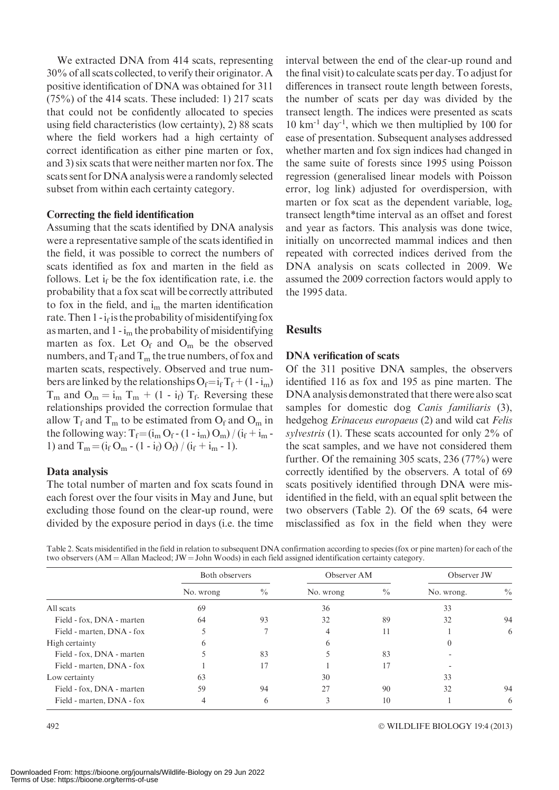We extracted DNA from 414 scats, representing 30% of all scats collected, to verify their originator. A positive identification of DNA was obtained for 311  $(75%)$  of the 414 scats. These included: 1) 217 scats that could not be confidently allocated to species using field characteristics (low certainty), 2) 88 scats where the field workers had a high certainty of correct identification as either pine marten or fox, and 3) six scats that were neither marten nor fox. The scats sent for DNA analysis were a randomly selected subset from within each certainty category.

#### Correcting the field identification

Assuming that the scats identified by DNA analysis were a representative sample of the scats identified in the field, it was possible to correct the numbers of scats identified as fox and marten in the field as follows. Let  $i_f$  be the fox identification rate, i.e. the probability that a fox scat will be correctly attributed to fox in the field, and  $i<sub>m</sub>$  the marten identification rate. Then  $1 - i_f$  is the probability of misidentifying fox as marten, and  $1 - i_m$  the probability of misidentifying marten as fox. Let  $O_f$  and  $O_m$  be the observed numbers, and  $T_f$  and  $T_m$  the true numbers, of fox and marten scats, respectively. Observed and true numbers are linked by the relationships  $O_f = i_f T_f + (1 - i_m)$  $T_m$  and  $O_m = i_m T_m + (1 - i_f) T_f$ . Reversing these relationships provided the correction formulae that allow  $T_f$  and  $T_m$  to be estimated from  $O_f$  and  $O_m$  in the following way:  $T_f = (i_m O_f - (1 - i_m) O_m) / (i_f + i_m -$ 1) and  $T_m = (i_f O_m - (1 - i_f) O_f) / (i_f + i_m - 1)$ .

#### Data analysis

The total number of marten and fox scats found in each forest over the four visits in May and June, but excluding those found on the clear-up round, were divided by the exposure period in days (i.e. the time interval between the end of the clear-up round and the final visit) to calculate scats per day. To adjust for differences in transect route length between forests, the number of scats per day was divided by the transect length. The indices were presented as scats  $10 \text{ km}^{-1}$  day<sup>-1</sup>, which we then multiplied by 100 for ease of presentation. Subsequent analyses addressed whether marten and fox sign indices had changed in the same suite of forests since 1995 using Poisson regression (generalised linear models with Poisson error, log link) adjusted for overdispersion, with marten or fox scat as the dependent variable,  $log_e$ transect length\*time interval as an offset and forest and year as factors. This analysis was done twice, initially on uncorrected mammal indices and then repeated with corrected indices derived from the DNA analysis on scats collected in 2009. We assumed the 2009 correction factors would apply to the 1995 data.

## **Results**

## DNA verification of scats

Of the 311 positive DNA samples, the observers identified 116 as fox and 195 as pine marten. The DNA analysis demonstrated that there were also scat samples for domestic dog Canis familiaris (3), hedgehog Erinaceus europaeus (2) and wild cat Felis sylvestris (1). These scats accounted for only 2% of the scat samples, and we have not considered them further. Of the remaining 305 scats, 236 (77%) were correctly identified by the observers. A total of 69 scats positively identified through DNA were misidentified in the field, with an equal split between the two observers (Table 2). Of the 69 scats, 64 were misclassified as fox in the field when they were

Table 2. Scats misidentified in the field in relation to subsequent DNA confirmation according to species (fox or pine marten) for each of the two observers  $(AM = Allan Maled; JW = John Woods)$  in each field assigned identification certainty category.

|                           | Both observers |               | Observer AM |               | Observer JW |               |
|---------------------------|----------------|---------------|-------------|---------------|-------------|---------------|
|                           | No. wrong      | $\frac{0}{0}$ | No. wrong   | $\frac{0}{0}$ | No. wrong.  | $\frac{0}{0}$ |
| All scats                 | 69             |               | 36          |               | 33          |               |
| Field - fox, DNA - marten | 64             | 93            | 32          | 89            | 32          | 94            |
| Field - marten, DNA - fox |                |               | 4           | 11            |             | 6             |
| High certainty            | <sub>6</sub>   |               | h           |               | $\left($    |               |
| Field - fox, DNA - marten |                | 83            |             | 83            |             |               |
| Field - marten, DNA - fox |                | 17            |             | 17            |             |               |
| Low certainty             | 63             |               | 30          |               | 33          |               |
| Field - fox, DNA - marten | 59             | 94            | 27          | 90            | 32          | 94            |
| Field - marten, DNA - fox | 4              | h             |             | 10            |             | 6             |

WILDLIFE BIOLOGY 19:4 (2013)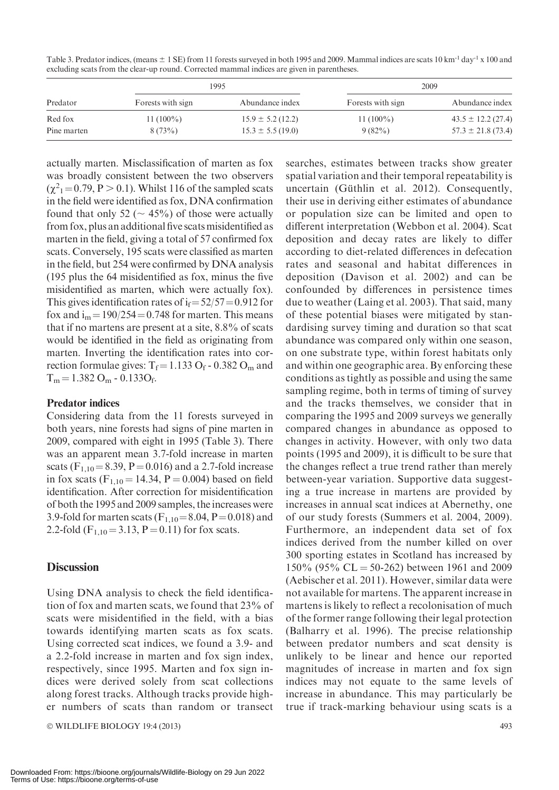Table 3. Predator indices, (means  $\pm 1$  SE) from 11 forests surveyed in both 1995 and 2009. Mammal indices are scats 10 km<sup>-1</sup> day<sup>-1</sup> x 100 and excluding scats from the clear-up round. Corrected mammal indices are given in parentheses.

| Predator    |                   | 1995                  |                   | 2009                   |
|-------------|-------------------|-----------------------|-------------------|------------------------|
|             | Forests with sign | Abundance index       | Forests with sign | Abundance index        |
| Red fox     | $11(100\%)$       | $15.9 \pm 5.2$ (12.2) | $11(100\%)$       | $43.5 \pm 12.2$ (27.4) |
| Pine marten | 8(73%)            | $15.3 \pm 5.5(19.0)$  | 9(82%)            | $57.3 \pm 21.8$ (73.4) |

actually marten. Misclassification of marten as fox was broadly consistent between the two observers  $(\chi^2_{1} = 0.79, P > 0.1)$ . Whilst 116 of the sampled scats in the field were identified as fox, DNA confirmation found that only 52 ( $\sim$  45%) of those were actually from fox, plus an additional five scats misidentified as marten in the field, giving a total of 57 confirmed fox scats. Conversely, 195 scats were classified as marten in the field, but 254 were confirmed by DNA analysis (195 plus the 64 misidentified as fox, minus the five misidentified as marten, which were actually fox). This gives identification rates of  $i_f = 52/57 = 0.912$  for fox and  $i_m = 190/254 = 0.748$  for marten. This means that if no martens are present at a site, 8.8% of scats would be identified in the field as originating from marten. Inverting the identification rates into correction formulae gives:  $T_f = 1.133 O_f - 0.382 O_m$  and  $T_m = 1.382 \text{ O}_m - 0.133 \text{ O}_f.$ 

## Predator indices

Considering data from the 11 forests surveyed in both years, nine forests had signs of pine marten in 2009, compared with eight in 1995 (Table 3). There was an apparent mean 3.7-fold increase in marten scats ( $F_{1,10} = 8.39$ ,  $P = 0.016$ ) and a 2.7-fold increase in fox scats  $(F_{1,10} = 14.34, P = 0.004)$  based on field identification. After correction for misidentification of both the 1995 and 2009 samples, the increases were 3.9-fold for marten scats  $(F_{1,10} = 8.04, P = 0.018)$  and 2.2-fold ( $F_{1,10} = 3.13$ ,  $P = 0.11$ ) for fox scats.

## **Discussion**

Using DNA analysis to check the field identification of fox and marten scats, we found that 23% of scats were misidentified in the field, with a bias towards identifying marten scats as fox scats. Using corrected scat indices, we found a 3.9- and a 2.2-fold increase in marten and fox sign index, respectively, since 1995. Marten and fox sign indices were derived solely from scat collections along forest tracks. Although tracks provide higher numbers of scats than random or transect

© WILDLIFE BIOLOGY 19:4 (2013) 493

searches, estimates between tracks show greater spatial variation and their temporal repeatability is uncertain (Güthlin et al. 2012). Consequently, their use in deriving either estimates of abundance or population size can be limited and open to different interpretation (Webbon et al. 2004). Scat deposition and decay rates are likely to differ according to diet-related differences in defecation rates and seasonal and habitat differences in deposition (Davison et al. 2002) and can be confounded by differences in persistence times due to weather (Laing et al. 2003). That said, many of these potential biases were mitigated by standardising survey timing and duration so that scat abundance was compared only within one season, on one substrate type, within forest habitats only and within one geographic area. By enforcing these conditions as tightly as possible and using the same sampling regime, both in terms of timing of survey and the tracks themselves, we consider that in comparing the 1995 and 2009 surveys we generally compared changes in abundance as opposed to changes in activity. However, with only two data points (1995 and 2009), it is difficult to be sure that the changes reflect a true trend rather than merely between-year variation. Supportive data suggesting a true increase in martens are provided by increases in annual scat indices at Abernethy, one of our study forests (Summers et al. 2004, 2009). Furthermore, an independent data set of fox indices derived from the number killed on over 300 sporting estates in Scotland has increased by 150% (95% CL = 50-262) between 1961 and 2009 (Aebischer et al. 2011). However, similar data were not available for martens. The apparent increase in martens is likely to reflect a recolonisation of much of the former range following their legal protection (Balharry et al. 1996). The precise relationship between predator numbers and scat density is unlikely to be linear and hence our reported magnitudes of increase in marten and fox sign indices may not equate to the same levels of increase in abundance. This may particularly be true if track-marking behaviour using scats is a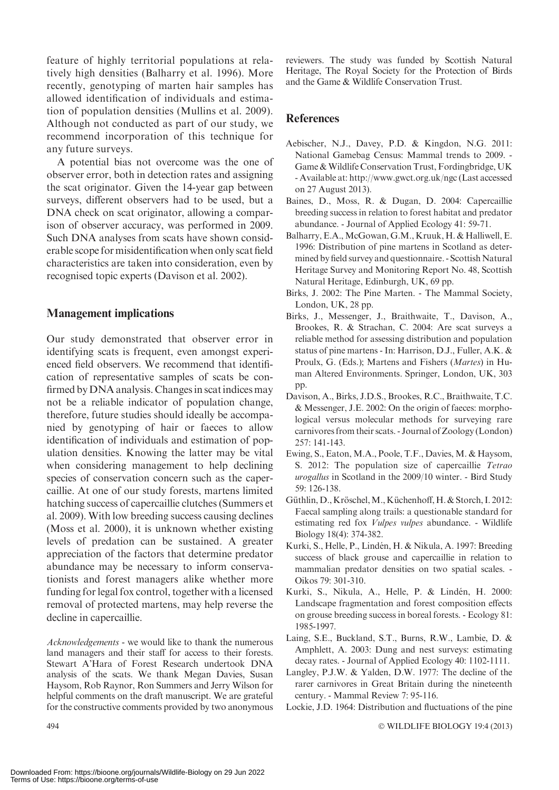feature of highly territorial populations at relatively high densities (Balharry et al. 1996). More recently, genotyping of marten hair samples has allowed identification of individuals and estimation of population densities (Mullins et al. 2009). Although not conducted as part of our study, we recommend incorporation of this technique for any future surveys.

A potential bias not overcome was the one of observer error, both in detection rates and assigning the scat originator. Given the 14-year gap between surveys, different observers had to be used, but a DNA check on scat originator, allowing a comparison of observer accuracy, was performed in 2009. Such DNA analyses from scats have shown considerable scope for misidentification when only scat field characteristics are taken into consideration, even by recognised topic experts (Davison et al. 2002).

## Management implications

Our study demonstrated that observer error in identifying scats is frequent, even amongst experienced field observers. We recommend that identification of representative samples of scats be confirmed by DNA analysis. Changes in scat indices may not be a reliable indicator of population change, therefore, future studies should ideally be accompanied by genotyping of hair or faeces to allow identification of individuals and estimation of population densities. Knowing the latter may be vital when considering management to help declining species of conservation concern such as the capercaillie. At one of our study forests, martens limited hatching success of capercaillie clutches (Summers et al. 2009). With low breeding success causing declines (Moss et al. 2000), it is unknown whether existing levels of predation can be sustained. A greater appreciation of the factors that determine predator abundance may be necessary to inform conservationists and forest managers alike whether more funding for legal fox control, together with a licensed removal of protected martens, may help reverse the decline in capercaillie.

Acknowledgements - we would like to thank the numerous land managers and their staff for access to their forests. Stewart A'Hara of Forest Research undertook DNA analysis of the scats. We thank Megan Davies, Susan Haysom, Rob Raynor, Ron Summers and Jerry Wilson for helpful comments on the draft manuscript. We are grateful for the constructive comments provided by two anonymous reviewers. The study was funded by Scottish Natural Heritage, The Royal Society for the Protection of Birds and the Game & Wildlife Conservation Trust.

## **References**

- Aebischer, N.J., Davey, P.D. & Kingdon, N.G. 2011: National Gamebag Census: Mammal trends to 2009. - Game & Wildlife Conservation Trust, Fordingbridge, UK - Available at: http://www.gwct.org.uk/ngc (Last accessed on 27 August 2013).
- Baines, D., Moss, R. & Dugan, D. 2004: Capercaillie breeding success in relation to forest habitat and predator abundance. - Journal of Applied Ecology 41: 59-71.
- Balharry, E.A., McGowan, G.M., Kruuk, H. & Halliwell, E. 1996: Distribution of pine martens in Scotland as determined by field survey and questionnaire. - Scottish Natural Heritage Survey and Monitoring Report No. 48, Scottish Natural Heritage, Edinburgh, UK, 69 pp.
- Birks, J. 2002: The Pine Marten. The Mammal Society, London, UK, 28 pp.
- Birks, J., Messenger, J., Braithwaite, T., Davison, A., Brookes, R. & Strachan, C. 2004: Are scat surveys a reliable method for assessing distribution and population status of pine martens - In: Harrison, D.J., Fuller, A.K. & Proulx, G. (Eds.); Martens and Fishers (Martes) in Human Altered Environments. Springer, London, UK, 303 pp.
- Davison, A., Birks, J.D.S., Brookes, R.C., Braithwaite, T.C. & Messenger, J.E. 2002: On the origin of faeces: morphological versus molecular methods for surveying rare carnivores from their scats. - Journal of Zoology (London) 257: 141-143.
- Ewing, S., Eaton, M.A., Poole, T.F., Davies, M. & Haysom, S. 2012: The population size of capercaillie Tetrao urogallus in Scotland in the 2009/10 winter. - Bird Study 59: 126-138.
- Güthlin, D., Kröschel, M., Küchenhoff, H. & Storch, I. 2012: Faecal sampling along trails: a questionable standard for estimating red fox Vulpes vulpes abundance. - Wildlife Biology 18(4): 374-382.
- Kurki, S., Helle, P., Lindén, H. & Nikula, A. 1997: Breeding success of black grouse and capercaillie in relation to mammalian predator densities on two spatial scales. - Oikos 79: 301-310.
- Kurki, S., Nikula, A., Helle, P. & Lindén, H. 2000: Landscape fragmentation and forest composition effects on grouse breeding success in boreal forests. - Ecology 81: 1985-1997.
- Laing, S.E., Buckland, S.T., Burns, R.W., Lambie, D. & Amphlett, A. 2003: Dung and nest surveys: estimating decay rates. - Journal of Applied Ecology 40: 1102-1111.
- Langley, P.J.W. & Yalden, D.W. 1977: The decline of the rarer carnivores in Great Britain during the nineteenth century. - Mammal Review 7: 95-116.
- Lockie, J.D. 1964: Distribution and fluctuations of the pine

WILDLIFE BIOLOGY 19:4 (2013)